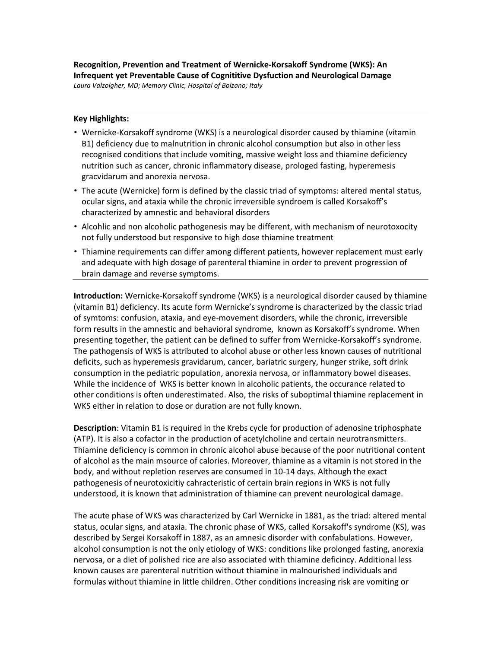**Recognition, Prevention and Treatment of Wernicke-Korsakoff Syndrome (WKS): An Infrequent yet Preventable Cause of Cognititive Dysfuction and Neurological Damage** *Laura Valzolgher, MD; Memory Clinic, Hospital of Bolzano; Italy*

## **Key Highlights:**

- Wernicke-Korsakoff syndrome (WKS) is a neurological disorder caused by thiamine (vitamin B1) deficiency due to malnutrition in chronic alcohol consumption but also in other less recognised conditions that include vomiting, massive weight loss and thiamine deficiency nutrition such as cancer, chronic inflammatory disease, prologed fasting, hyperemesis gracvidarum and anorexia nervosa.
- The acute (Wernicke) form is defined by the classic triad of symptoms: altered mental status, ocular signs, and ataxia while the chronic irreversible syndroem is called Korsakoff's characterized by amnestic and behavioral disorders
- Alcohlic and non alcoholic pathogenesis may be different, with mechanism of neurotoxocity not fully understood but responsive to high dose thiamine treatment
- Thiamine requirements can differ among different patients, however replacement must early and adequate with high dosage of parenteral thiamine in order to prevent progression of brain damage and reverse symptoms.

**Introduction:** Wernicke-Korsakoff syndrome (WKS) is a neurological disorder caused by thiamine (vitamin B1) deficiency. Its acute form Wernicke's syndrome is characterized by the classic triad of symtoms: confusion, ataxia, and eye-movement disorders, while the chronic, irreversible form results in the amnestic and behavioral syndrome, known as Korsakoff's syndrome. When presenting together, the patient can be defined to suffer from Wernicke‐Korsakoff's syndrome. The pathogensis of WKS is attributed to alcohol abuse or other less known causes of nutritional deficits, such as hyperemesis gravidarum, cancer, bariatric surgery, hunger strike, soft drink consumption in the pediatric population, anorexia nervosa, or inflammatory bowel diseases. While the incidence of WKS is better known in alcoholic patients, the occurance related to other conditions is often underestimated. Also, the risks of suboptimal thiamine replacement in WKS either in relation to dose or duration are not fully known.

**Description**: Vitamin B1 is required in the Krebs cycle for production of adenosine triphosphate (ATP). It is also a cofactor in the production of acetylcholine and certain neurotransmitters. Thiamine deficiency is common in chronic alcohol abuse because of the poor nutritional content of alcohol as the main msource of calories. Moreover, thiamine as a vitamin is not stored in the body, and without repletion reserves are consumed in 10-14 days. Although the exact pathogenesis of neurotoxicitiy cahracteristic of certain brain regions in WKS is not fully understood, it is known that administration of thiamine can prevent neurological damage.

The acute phase of WKS was characterized by Carl Wernicke in 1881, as the triad: altered mental status, ocular signs, and ataxia. The chronic phase of WKS, called Korsakoff's syndrome (KS), was described by Sergei Korsakoff in 1887, as an amnesic disorder with confabulations. However, alcohol consumption is not the only etiology of WKS: conditions like prolonged fasting, anorexia nervosa, or a diet of polished rice are also associated with thiamine deficincy. Additional less known causes are parenteral nutrition without thiamine in malnourished individuals and formulas without thiamine in little children. Other conditions increasing risk are vomiting or